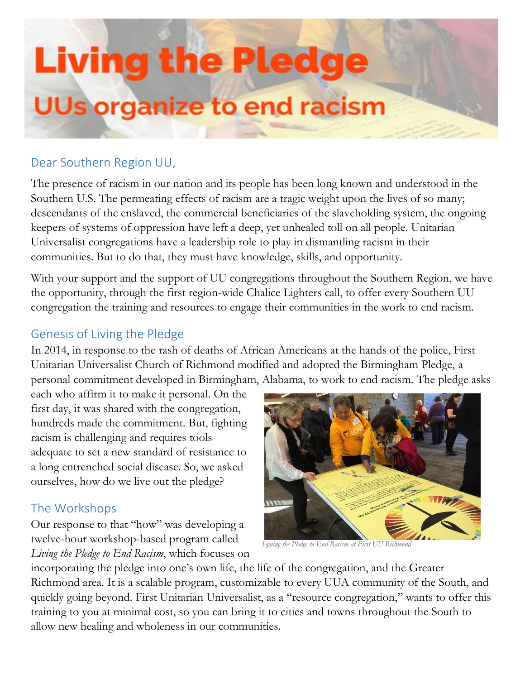# **Living the Pledge UUs organize to end racism**

## Dear Southern Region UU,

The presence of racism in our nation and its people has been long known and understood in the Southern U.S. The permeating effects of racism are a tragic weight upon the lives of so many; descendants of the enslaved, the commercial beneficiaries of the slaveholding system, the ongoing keepers of systems of oppression have left a deep, yet unhealed toll on all people. Unitarian Universalist congregations have a leadership role to play in dismantling racism in their communities. But to do that, they must have knowledge, skills, and opportunity.

With your support and the support of UU congregations throughout the Southern Region, we have the opportunity, through the first region-wide Chalice Lighters call, to offer every Southern UU congregation the training and resources to engage their communities in the work to end racism.

## Genesis of Living the Pledge

In 2014, in response to the rash of deaths of African Americans at the hands of the police, First Unitarian Universalist Church of Richmond modified and adopted the Birmingham Pledge, a personal commitment developed in Birmingham, Alabama, to work to end racism. The pledge asks

each who affirm it to make it personal. On the first day, it was shared with the congregation, hundreds made the commitment. But, fighting racism is challenging and requires tools adequate to set a new standard of resistance to a long entrenched social disease. So, we asked ourselves, how do we live out the pledge?

## The Workshops

Our response to that "how" was developing a twelve-hour workshop-based program called *Living the Pledge to End Racism*, which focuses on



*Signing the Pledge to End Racism at First UU Richmond*

incorporating the pledge into one's own life, the life of the congregation, and the Greater Richmond area. It is a scalable program, customizable to every UUA community of the South, and quickly going beyond. First Unitarian Universalist, as a "resource congregation," wants to offer this training to you at minimal cost, so you can bring it to cities and towns throughout the South to allow new healing and wholeness in our communities.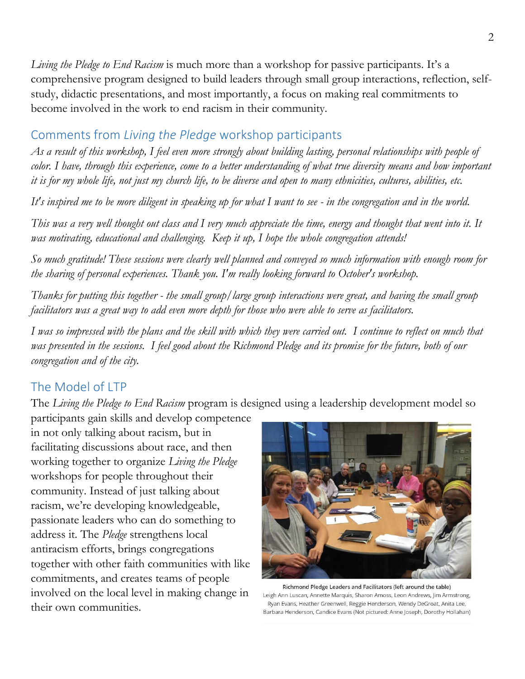*Living the Pledge to End Racism* is much more than a workshop for passive participants. It's a comprehensive program designed to build leaders through small group interactions, reflection, selfstudy, didactic presentations, and most importantly, a focus on making real commitments to become involved in the work to end racism in their community.

## Comments from *Living the Pledge* workshop participants

*As a result of this workshop, I feel even more strongly about building lasting, personal relationships with people of color. I have, through this experience, come to a better understanding of what true diversity means and how important it is for my whole life, not just my church life, to be diverse and open to many ethnicities, cultures, abilities, etc.*

*It's inspired me to be more diligent in speaking up for what I want to see - in the congregation and in the world.*

*This was a very well thought out class and I very much appreciate the time, energy and thought that went into it. It was motivating, educational and challenging. Keep it up, I hope the whole congregation attends!*

*So much gratitude! These sessions were clearly well planned and conveyed so much information with enough room for the sharing of personal experiences. Thank you. I'm really looking forward to October's workshop.*

*Thanks for putting this together - the small group/large group interactions were great, and having the small group facilitators was a great way to add even more depth for those who were able to serve as facilitators.*

*I was so impressed with the plans and the skill with which they were carried out. I continue to reflect on much that was presented in the sessions. I feel good about the Richmond Pledge and its promise for the future, both of our congregation and of the city.*

## The Model of LTP

The *Living the Pledge to End Racism* program is designed using a leadership development model so

participants gain skills and develop competence in not only talking about racism, but in facilitating discussions about race, and then working together to organize *Living the Pledge* workshops for people throughout their community. Instead of just talking about racism, we're developing knowledgeable, passionate leaders who can do something to address it. The *Pledge* strengthens local antiracism efforts, brings congregations together with other faith communities with like commitments, and creates teams of people involved on the local level in making change in their own communities.



Richmond Pledge Leaders and Facilitators (left around the table) Leigh Ann Luscan, Annette Marquis, Sharon Amoss, Leon Andrews, Jim Armstrong, Ryan Evans, Heather Greenwell, Reggie Henderson, Wendy DeGroat, Anita Lee, Barbara Henderson, Candice Evans (Not pictured: Anne Joseph, Dorothy Hollahan)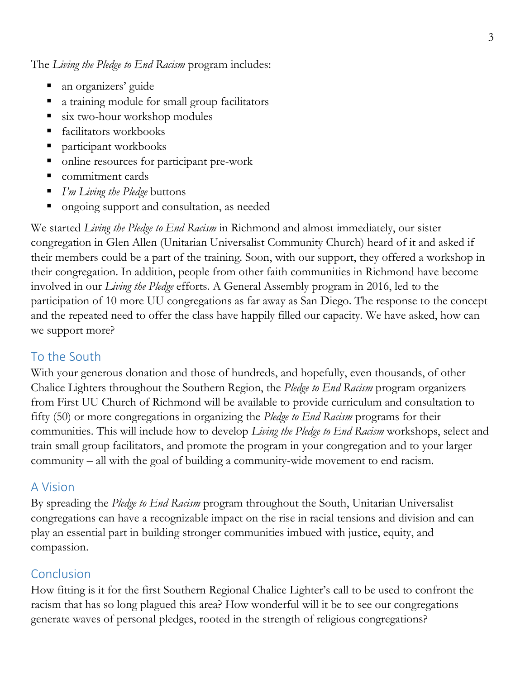The *Living the Pledge to End Racism* program includes:

- an organizers' guide
- a training module for small group facilitators
- six two-hour workshop modules
- facilitators workbooks
- participant workbooks
- online resources for participant pre-work
- commitment cards
- *I'm Living the Pledge* buttons
- ongoing support and consultation, as needed

We started *Living the Pledge to End Racism* in Richmond and almost immediately, our sister congregation in Glen Allen (Unitarian Universalist Community Church) heard of it and asked if their members could be a part of the training. Soon, with our support, they offered a workshop in their congregation. In addition, people from other faith communities in Richmond have become involved in our *Living the Pledge* efforts. A General Assembly program in 2016, led to the participation of 10 more UU congregations as far away as San Diego. The response to the concept and the repeated need to offer the class have happily filled our capacity. We have asked, how can we support more?

## To the South

With your generous donation and those of hundreds, and hopefully, even thousands, of other Chalice Lighters throughout the Southern Region, the *Pledge to End Racism* program organizers from First UU Church of Richmond will be available to provide curriculum and consultation to fifty (50) or more congregations in organizing the *Pledge to End Racism* programs for their communities. This will include how to develop *Living the Pledge to End Racism* workshops, select and train small group facilitators, and promote the program in your congregation and to your larger community – all with the goal of building a community-wide movement to end racism.

#### A Vision

By spreading the *Pledge to End Racism* program throughout the South, Unitarian Universalist congregations can have a recognizable impact on the rise in racial tensions and division and can play an essential part in building stronger communities imbued with justice, equity, and compassion.

## Conclusion

How fitting is it for the first Southern Regional Chalice Lighter's call to be used to confront the racism that has so long plagued this area? How wonderful will it be to see our congregations generate waves of personal pledges, rooted in the strength of religious congregations?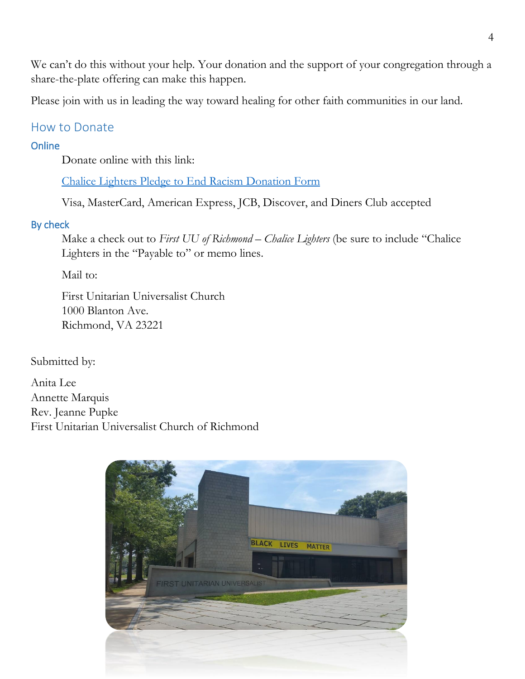We can't do this without your help. Your donation and the support of your congregation through a share-the-plate offering can make this happen.

Please join with us in leading the way toward healing for other faith communities in our land.

### How to Donate

#### **Online**

Donate online with this link:

Chalice [Lighters Pledge to End Racism Donation Form](https://secure.lglforms.com/form_engine/s/hf_xDmMfUCEnqR5K-h0Ogg)

Visa, MasterCard, American Express, JCB, Discover, and Diners Club accepted

#### By check

Make a check out to *First UU of Richmond – Chalice Lighters* (be sure to include "Chalice" Lighters in the "Payable to" or memo lines.

Mail to:

First Unitarian Universalist Church 1000 Blanton Ave. Richmond, VA 23221

Submitted by:

Anita Lee Annette Marquis Rev. Jeanne Pupke First Unitarian Universalist Church of Richmond